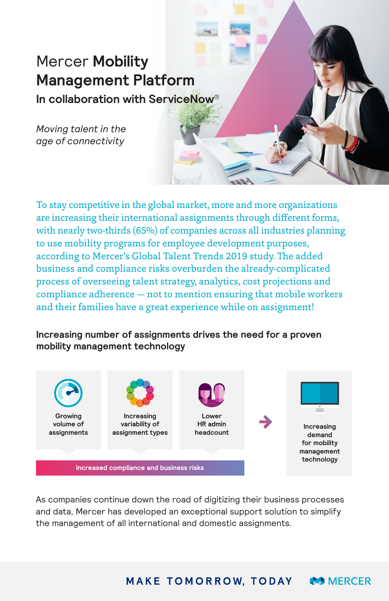# Mercer **Mobility Management Platform**

**In collaboration with ServiceNow®**

*Moving talent in the age of connectivity*

To stay competitive in the global market, more and more organizations are increasing their international assignments through different forms, with nearly two-thirds (65%) of companies across all industries planning to use mobility programs for employee development purposes, according to Mercer's Global Talent Trends 2019 study. The added business and compliance risks overburden the already-complicated process of overseeing talent strategy, analytics, cost projections and compliance adherence — not to mention ensuring that mobile workers and their families have a great experience while on assignment!

# **Increasing number of assignments drives the need for a proven mobility management technology**



As companies continue down the road of digitizing their business processes and data, Mercer has developed an exceptional support solution to simplify the management of all international and domestic assignments.

> **MAKE TOMORROW, TODAY MERCER**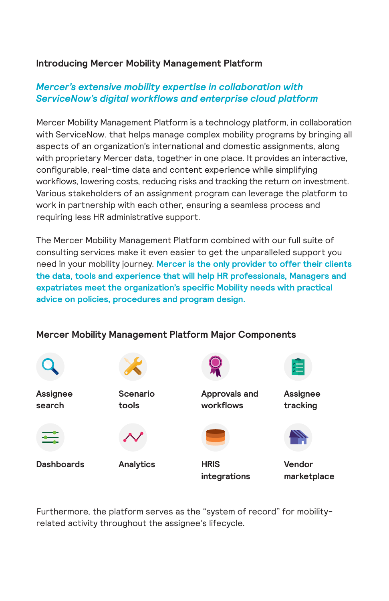## **Introducing Mercer Mobility Management Platform**

# *Mercer's extensive mobility expertise in collaboration with ServiceNow's digital workflows and enterprise cloud platform*

Mercer Mobility Management Platform is a technology platform, in collaboration with ServiceNow, that helps manage complex mobility programs by bringing all aspects of an organization's international and domestic assignments, along with proprietary Mercer data, together in one place. It provides an interactive, configurable, real-time data and content experience while simplifying workflows, lowering costs, reducing risks and tracking the return on investment. Various stakeholders of an assignment program can leverage the platform to work in partnership with each other, ensuring a seamless process and requiring less HR administrative support.

The Mercer Mobility Management Platform combined with our full suite of consulting services make it even easier to get the unparalleled support you need in your mobility journey. **Mercer is the only provider to offer their clients the data, tools and experience that will help HR professionals, Managers and expatriates meet the organization's specific Mobility needs with practical advice on policies, procedures and program design.**



# **Mercer Mobility Management Platform Major Components**

Furthermore, the platform serves as the "system of record" for mobilityrelated activity throughout the assignee's lifecycle.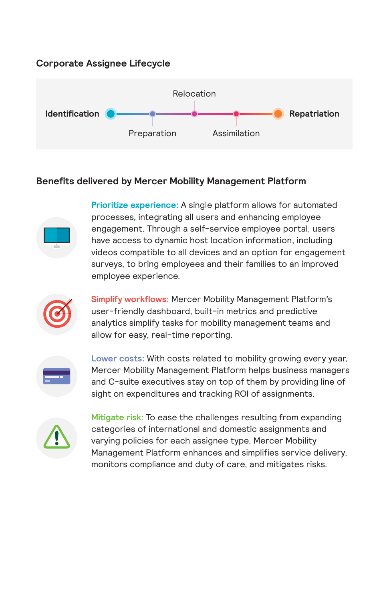## **Corporate Assignee Lifecycle**



### **Benefits delivered by Mercer Mobility Management Platform**



**Prioritize experience:** A single platform allows for automated processes, integrating all users and enhancing employee engagement. Through a self-service employee portal, users have access to dynamic host location information, including videos compatible to all devices and an option for engagement surveys, to bring employees and their families to an improved employee experience.



**Simplify workflows:** Mercer Mobility Management Platform's user-friendly dashboard, built-in metrics and predictive analytics simplify tasks for mobility management teams and allow for easy, real-time reporting.



**Lower costs:** With costs related to mobility growing every year, Mercer Mobility Management Platform helps business managers and C-suite executives stay on top of them by providing line of sight on expenditures and tracking ROI of assignments.



**Mitigate risk:** To ease the challenges resulting from expanding categories of international and domestic assignments and varying policies for each assignee type, Mercer Mobility Management Platform enhances and simplifies service delivery, monitors compliance and duty of care, and mitigates risks.